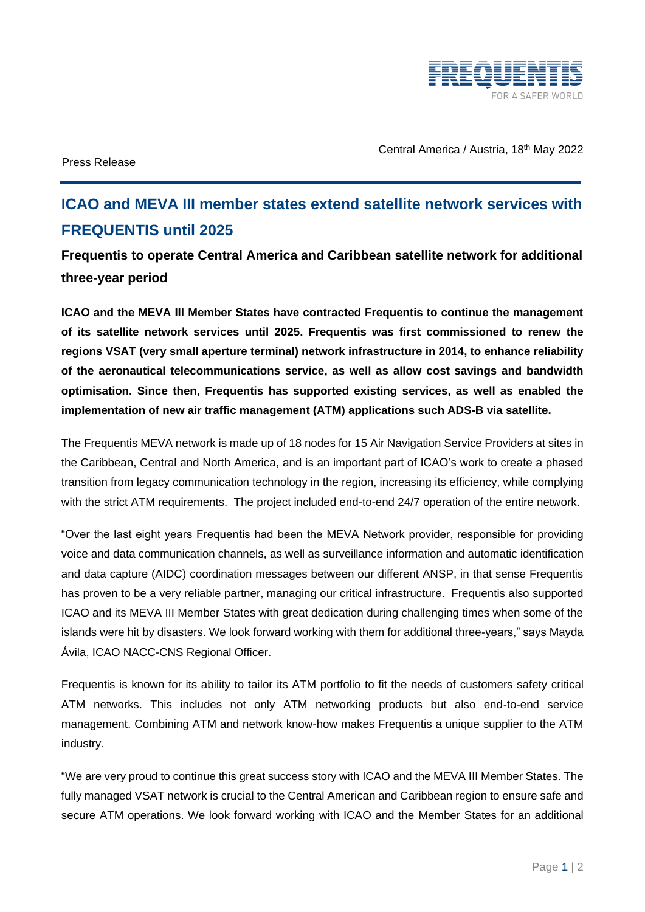

Press Release

Central America / Austria, 18th May 2022

## **ICAO and MEVA III member states extend satellite network services with FREQUENTIS until 2025**

**Frequentis to operate Central America and Caribbean satellite network for additional three-year period** 

**ICAO and the MEVA III Member States have contracted Frequentis to continue the management of its satellite network services until 2025. Frequentis was first commissioned to renew the regions VSAT (very small aperture terminal) network infrastructure in 2014, to enhance reliability of the aeronautical telecommunications service, as well as allow cost savings and bandwidth optimisation. Since then, Frequentis has supported existing services, as well as enabled the implementation of new air traffic management (ATM) applications such ADS-B via satellite.**

The Frequentis MEVA network is made up of 18 nodes for 15 Air Navigation Service Providers at sites in the Caribbean, Central and North America, and is an important part of ICAO's work to create a phased transition from legacy communication technology in the region, increasing its efficiency, while complying with the strict ATM requirements. The project included end-to-end 24/7 operation of the entire network.

"Over the last eight years Frequentis had been the MEVA Network provider, responsible for providing voice and data communication channels, as well as surveillance information and automatic identification and data capture (AIDC) coordination messages between our different ANSP, in that sense Frequentis has proven to be a very reliable partner, managing our critical infrastructure. Frequentis also supported ICAO and its MEVA III Member States with great dedication during challenging times when some of the islands were hit by disasters. We look forward working with them for additional three-years," says Mayda Ávila, ICAO NACC-CNS Regional Officer.

Frequentis is known for its ability to tailor its ATM portfolio to fit the needs of customers safety critical ATM networks. This includes not only ATM networking products but also end-to-end service management. Combining ATM and network know-how makes Frequentis a unique supplier to the ATM industry.

"We are very proud to continue this great success story with ICAO and the MEVA III Member States. The fully managed VSAT network is crucial to the Central American and Caribbean region to ensure safe and secure ATM operations. We look forward working with ICAO and the Member States for an additional